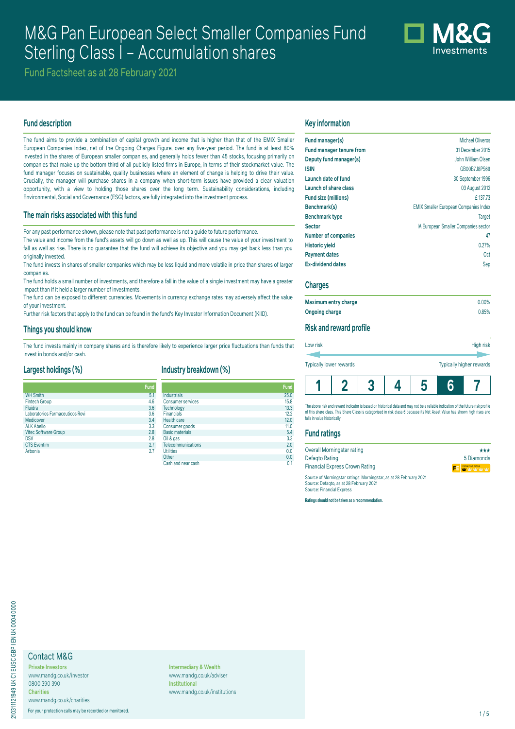# M&G Pan European Select Smaller Companies Fund Sterling Class I – Accumulation shares



Fund Factsheet as at 28 February 2021

## **Fund description**

The fund aims to provide a combination of capital growth and income that is higher than that of the EMIX Smaller European Companies Index, net of the Ongoing Charges Figure, over any five-year period. The fund is at least 80% invested in the shares of European smaller companies, and generally holds fewer than 45 stocks, focusing primarily on companies that make up the bottom third of all publicly listed firms in Europe, in terms of their stockmarket value. The fund manager focuses on sustainable, quality businesses where an element of change is helping to drive their value. Crucially, the manager will purchase shares in a company when short-term issues have provided a clear valuation opportunity, with a view to holding those shares over the long term. Sustainability considerations, including Environmental, Social and Governance (ESG) factors, are fully integrated into the investment process.

#### **The main risks associated with this fund**

For any past performance shown, please note that past performance is not a guide to future performance.

The value and income from the fund's assets will go down as well as up. This will cause the value of your investment to fall as well as rise. There is no quarantee that the fund will achieve its objective and you may get back less than you originally invested.

The fund invests in shares of smaller companies which may be less liquid and more volatile in price than shares of larger companies.

The fund holds a small number of investments, and therefore a fall in the value of a single investment may have a greater impact than if it held a larger number of investments.

The fund can be exposed to different currencies. Movements in currency exchange rates may adversely affect the value of your investment.

Further risk factors that apply to the fund can be found in the fund's Key Investor Information Document (KIID).

#### **Things you should know**

The fund invests mainly in company shares and is therefore likely to experience larger price fluctuations than funds that invest in bonds and/or cash.

#### **Largest holdings (%)**

## **Industry breakdown (%)**

|                                 | Fund |
|---------------------------------|------|
| <b>WH Smith</b>                 | 5.1  |
| <b>Fintech Group</b>            | 4.6  |
| Fluidra                         | 3.6  |
| Laboratorios Farmaceuticos Rovi | 3.6  |
| Medicover                       | 3.4  |
| <b>ALK Abello</b>               | 3.3  |
| <b>Vitec Software Group</b>     | 2.8  |
| <b>DSV</b>                      | 2.8  |
| <b>CTS</b> Eventim              | 2.7  |
| Arbonia                         | 27   |

| und |                           | <b>Fund</b> |
|-----|---------------------------|-------------|
| 5.1 | <b>Industrials</b>        | 25.0        |
| 4.6 | <b>Consumer services</b>  | 15.8        |
| 3.6 | Technology                | 13.3        |
| 3.6 | <b>Financials</b>         | 12.2        |
| 3.4 | <b>Health care</b>        | 12.0        |
| 3.3 | Consumer goods            | 11.0        |
| 2.8 | <b>Basic materials</b>    | 5.4         |
| 2.8 | Oil & gas                 | 3.3         |
| 2.7 | <b>Telecommunications</b> | 2.0         |
| 2.7 | <b>Utilities</b>          | 0.0         |
|     | Other                     | 0.0         |
|     | Cash and near cash        | 0.1         |

#### **Key information**

| Fund manager(s)                 | Michael Oliveros                             |
|---------------------------------|----------------------------------------------|
| <b>Fund manager tenure from</b> | 31 December 2015                             |
| Deputy fund manager(s)          | John William Olsen                           |
| <b>ISIN</b>                     | GB00B7J8PS69                                 |
| Launch date of fund             | 30 September 1996                            |
| Launch of share class           | 03 August 2012                               |
| Fund size (millions)            | £137.73                                      |
| Benchmark(s)                    | <b>EMIX Smaller European Companies Index</b> |
| <b>Benchmark type</b>           | <b>Target</b>                                |
| <b>Sector</b>                   | IA European Smaller Companies sector         |
| <b>Number of companies</b>      | 47                                           |
| <b>Historic yield</b>           | 0.27%                                        |
| <b>Payment dates</b>            | 0 <sub>ct</sub>                              |
| <b>Ex-dividend dates</b>        | Sep                                          |

#### **Charges**

| Maximum entry charge | $0.00\%$ |
|----------------------|----------|
| Ongoing charge       | 0.85%    |

#### **Risk and reward profile**

| Low risk                | High risk                       |
|-------------------------|---------------------------------|
|                         |                                 |
| Typically lower rewards | <b>Typically higher rewards</b> |
|                         |                                 |



The above risk and reward indicator is based on historical data and may not be a reliable indication of the future risk profil of this share class. This Share Class is categorised in risk class 6 because its Net Asset Value has shown high rises and falls in value historically

#### **Fund ratings**

| Overall Morningstar rating                                         | ***                   |
|--------------------------------------------------------------------|-----------------------|
| Defagto Rating                                                     | 5 Diamonds            |
| <b>Financial Express Crown Rating</b>                              | <b>FE W</b> W W W W W |
| Source of Morningstar ratings: Morningstar, as at 28 February 2021 |                       |

Source: Defaqto, as at 28 February 2021 Source: Financial Express

**Ratings should not be taken as a recommendation.**

## Contact M&G

**Private Investors** www.mandg.co.uk/investor 0800 390 390 **Charities** www.mandg.co.uk/charities

For your protection calls may be recorded or monitored. 1/5

**Intermediary & Wealth** www.mandg.co.uk/adviser **Institutional** www.mandg.co.uk/institutions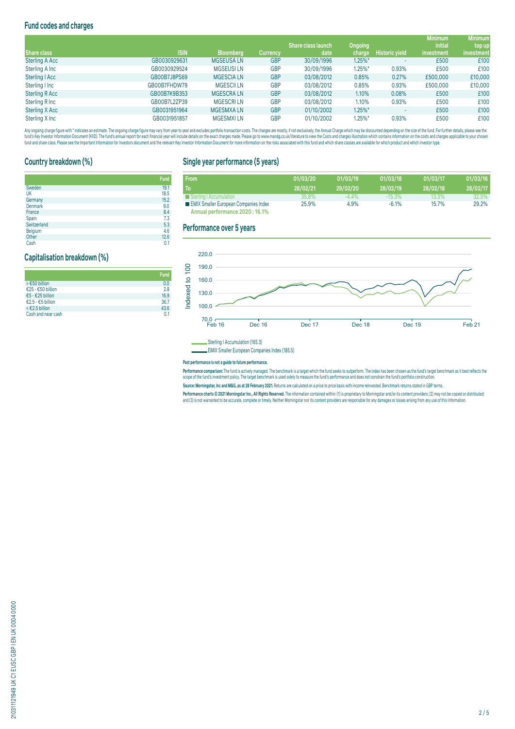## **Fund codes and charges**

|                       |              |                  |                 |                           |            |                       | <b>Minimum</b> | <b>Minimum</b> |
|-----------------------|--------------|------------------|-----------------|---------------------------|------------|-----------------------|----------------|----------------|
|                       |              |                  |                 | <b>Share class launch</b> | Ongoing    |                       | <i>initial</i> | top up         |
| Share class           | <b>ISIN</b>  | <b>Bloomberg</b> | <b>Currency</b> | date                      | charge     | <b>Historic yield</b> | investment     | investment     |
| <b>Sterling A Acc</b> | GB0030929631 | <b>MGSEUSALN</b> | <b>GBP</b>      | 30/09/1996                | $1.25\%$ * |                       | £500           | £100           |
| Sterling A Inc        | GB0030929524 | <b>MGSEUSILN</b> | <b>GBP</b>      | 30/09/1996                | $1.25\%$ * | 0.93%                 | £500           | £100           |
| Sterling   Acc        | GB00B7J8PS69 | <b>MGESCIALN</b> | <b>GBP</b>      | 03/08/2012                | 0.85%      | 0.27%                 | £500,000       | £10,000        |
| Sterling I Inc        | GB00B7FHDW79 | <b>MGESCILLN</b> | <b>GBP</b>      | 03/08/2012                | 0.85%      | 0.93%                 | £500,000       | £10,000        |
| <b>Sterling R Acc</b> | GB00B7K9B353 | <b>MGESCRALN</b> | <b>GBP</b>      | 03/08/2012                | 1.10%      | 0.08%                 | £500           | £100           |
| Sterling R Inc        | GB00B7L2ZP39 | <b>MGESCRILN</b> | <b>GBP</b>      | 03/08/2012                | 1.10%      | 0.93%                 | £500           | £100           |
| <b>Sterling X Acc</b> | GB0031951964 | <b>MGESMXALN</b> | <b>GBP</b>      | 01/10/2002                | $1.25\%$ * |                       | £500           | £100           |
| Sterling X Inc        | GB0031951857 | <b>MGESMXILN</b> | <b>GBP</b>      | 01/10/2002                | $1.25\%$ * | 0.93%                 | £500           | £100           |

Any ongoing charge rigure with "inducates an estimate. The ongoing charge may vary from year to year and excludes portroill transaction costs. The charges are mostly, if not exclusively, the Annual Charge and Charges are o

## **Country breakdown (%)**

|                | <b>Fund</b> |
|----------------|-------------|
| Sweden         | 19.1        |
| UK             | 18.5        |
| Germany        | 15.2        |
| Denmark        | 9.0         |
| France         | 8.4         |
| Spain          | 7.3         |
| Switzerland    | 5.3         |
| <b>Belgium</b> | 4.6         |
| Other          | 12.6        |

Cash 0.1 **Cash 0.1** 

## **Capitalisation breakdown (%)**

|                     | <b>Fund</b>    |
|---------------------|----------------|
| > €50 billion       | 0.0            |
| €25 - €50 billion   | 2.8            |
| €5 - €25 billion    | 16.9           |
| €2.5 - €5 billion   | 36.7           |
| $\leq$ €2.5 billion | 43.6           |
| Cash and near cash  | 0 <sub>1</sub> |

## **Single year performance (5 years)**

| <b>From</b>                                  | 01/03/20 | 01/03/19 | 01/03/18  | 01/03/17 | 01/03/16 |
|----------------------------------------------|----------|----------|-----------|----------|----------|
| To                                           | 28/02/21 | 29/02/20 | 28/02/19  | 28/02/18 | 28/02/17 |
| Sterling   Accumulation                      | 35.8%    | $-4.4\%$ | $-15.3\%$ | 13.3%    | 32.5%    |
| <b>EMIX Smaller European Companies Index</b> | 25.9%    | 4.9%     | $-6.1%$   | 15.7%    | 29.2%    |
| Annual performance 2020: 16.1%               |          |          |           |          |          |

## **Performance over 5 years**



Sterling I Accumulation (165.3)

EMIX Smaller European Companies Index (185.5)

#### **Past performance is not a guide to future performance.**

rerrormance comparison: The fund is actively managed. The denomiark is a target which the fund's seek to outperform. The index has been chosen as the fund's farge denomiark as it dest ferieds the<br>scope of the fund's invest

Source: Morningstar, Inc and M&G, as at 28 February 2021. Returns are calculated on a price to price basis with income reinvested. Benchmark returns stated in GBP terms

Performance charts © 2021 Morningstar Inc., All Rights Reserved. The information contained within: (1) is proprietary to Morningstar and/or its content providers; (2) may not be copied or distributed; and (3) is not warranted to be accurate, complete or timely. Neither Morningstar nor its content providers are responsible for any damages or losses arising from any use of this information.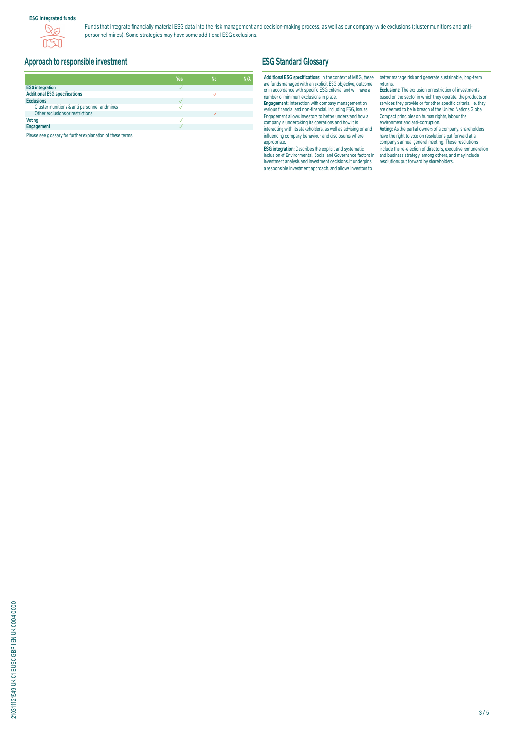### **ESG Integrated funds**



Funds that integrate financially material ESG data into the risk management and decision-making process, as well as our company-wide exclusions (cluster munitions and antipersonnel mines). Some strategies may have some additional ESG exclusions.

## **Approach to responsible investment**

|                                              | Yes | <b>No</b> | N/A |
|----------------------------------------------|-----|-----------|-----|
| <b>ESG integration</b>                       |     |           |     |
| <b>Additional ESG specifications</b>         |     |           |     |
| <b>Exclusions</b>                            |     |           |     |
| Cluster munitions & anti personnel landmines |     |           |     |
| Other exclusions or restrictions             |     |           |     |
| <b>Voting</b>                                |     |           |     |
| Engagement                                   |     |           |     |

Please see glossary for further explanation of these terms.

## **ESG Standard Glossary**

#### **Additional ESG specifications:** In the context of M&G, these are funds managed with an explicit ESG objective, outcome or in accordance with specific ESG criteria, and will have a number of minimum exclusions in place.

**Engagement:** Interaction with company management on various financial and non-financial, including ESG, issues. Engagement allows investors to better understand how a company is undertaking its operations and how it is interacting with its stakeholders, as well as advising on and influencing company behaviour and disclosures where appropriate.

**ESG integration:** Describes the explicit and systematic inclusion of Environmental, Social and Governance factors in investment analysis and investment decisions. It underpins a responsible investment approach, and allows investors to

better manage risk and generate sustainable, long-term returns.

**Exclusions:** The exclusion or restriction of investments based on the sector in which they operate, the products or services they provide or for other specific criteria, i.e. they are deemed to be in breach of the United Nations Global Compact principles on human rights, labour the environment and anti-corruption.

**Voting:** As the partial owners of a company, shareholders have the right to vote on resolutions put forward at a company's annual general meeting. These resolutions include the re-election of directors, executive remuneration and business strategy, among others, and may include resolutions put forward by shareholders.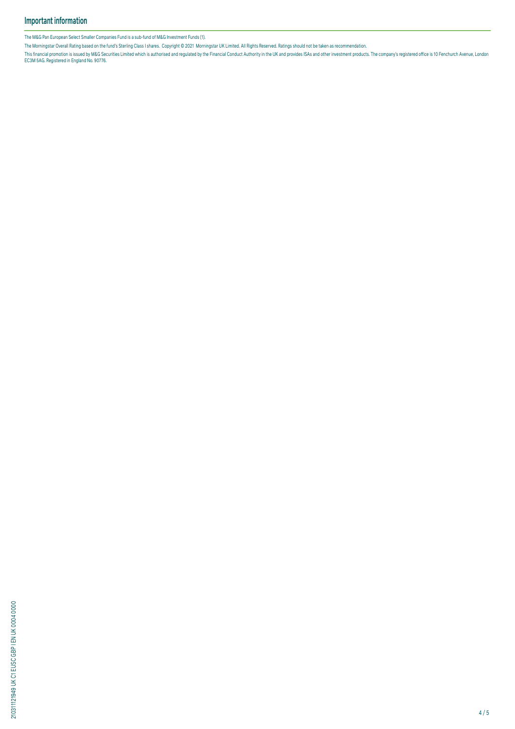The M&G Pan European Select Smaller Companies Fund is a sub-fund of M&G Investment Funds (1).

The Morningstar Overall Rating based on the fund's Sterling Class I shares. Copyright © 2021 Morningstar UK Limited. All Rights Reserved. Ratings should not be taken as recommendation.

This financial promotion is issued by M&G Securities Limited which is authorised and regulated by the Financial Conduct Authority in the UK and provides ISAS and other investment products. The company's registered office i